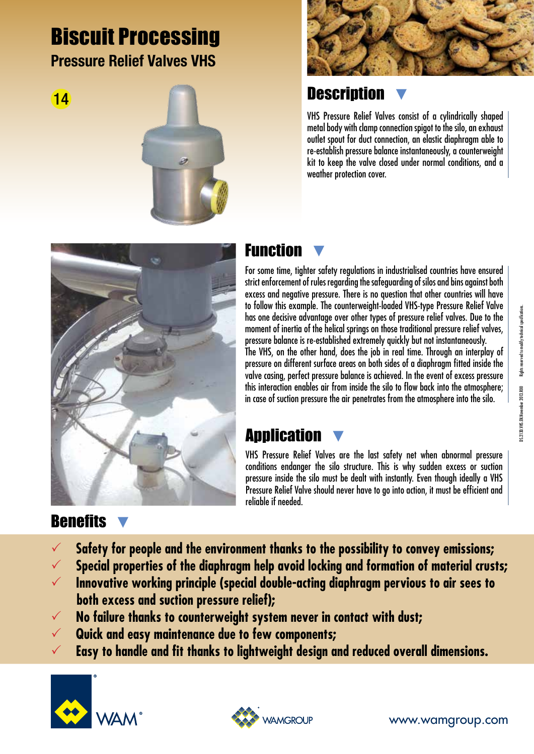# Biscuit Processing Pressure Relief Valves VHS







### **Description**

VHS Pressure Relief Valves consist of a cylindrically shaped metal body with clamp connection spigot to the silo, an exhaust outlet spout for duct connection, an elastic diaphragm able to re-establish pressure balance instantaneously, a counterweight kit to keep the valve closed under normal conditions, and a weather protection cover.



#### Function

For some time, tighter safety regulations in industrialised countries have ensured strict enforcement of rules regarding the safeguarding of silos and bins against both excess and negative pressure. There is no question that other countries will have to follow this example. The counterweight-loaded VHS-type Pressure Relief Valve has one decisive advantage over other types of pressure relief valves. Due to the moment of inertia of the helical springs on those traditional pressure relief valves, pressure balance is re-established extremely quickly but not instantaneously. The VHS, on the other hand, does the job in real time. Through an interplay of pressure on different surface areas on both sides of a diaphragm fitted inside the valve casing, perfect pressure balance is achieved. In the event of excess pressure this interaction enables air from inside the silo to flow back into the atmosphere; in case of suction pressure the air penetrates from the atmosphere into the silo.

#### **Application**

VHS Pressure Relief Valves are the last safety net when abnormal pressure conditions endanger the silo structure. This is why sudden excess or suction pressure inside the silo must be dealt with instantly. Even though ideally a VHS Pressure Relief Valve should never have to go into action, it must be efficient and reliable if needed.

#### **Benefits**

- **Safety for people and the environment thanks to the possibility to convey emissions;**
- **Special properties of the diaphragm help avoid locking and formation of material crusts;**
- **Innovative working principle (special double-acting diaphragm pervious to air sees to both excess and suction pressure relief);**
- **No failure thanks to counterweight system never in contact with dust;**
- **Quick and easy maintenance due to few components;**
- **Easy to handle and fit thanks to lightweight design and reduced overall dimensions.**